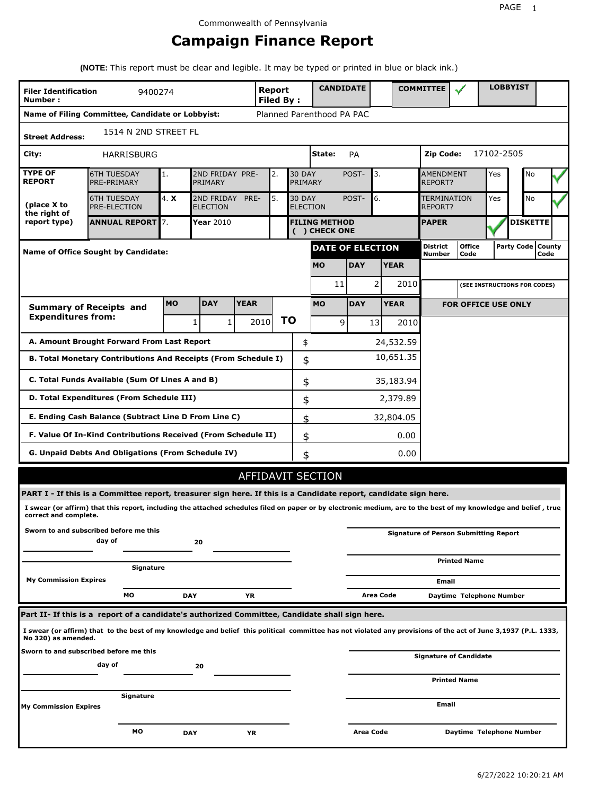## **Campaign Finance Report**

**(NOTE:** This report must be clear and legible. It may be typed or printed in blue or black ink.)

| <b>Filer Identification</b><br>Number: | 9400274                                                                                                                                                         |           |                               |             | Report<br><b>Filed By:</b> |                          | <b>CANDIDATE</b>                      |            |                 |             | <b>COMMITTEE</b>                     |                                              |            | <b>LOBBYIST</b>     |      |  |
|----------------------------------------|-----------------------------------------------------------------------------------------------------------------------------------------------------------------|-----------|-------------------------------|-------------|----------------------------|--------------------------|---------------------------------------|------------|-----------------|-------------|--------------------------------------|----------------------------------------------|------------|---------------------|------|--|
|                                        | Name of Filing Committee, Candidate or Lobbyist:                                                                                                                |           |                               |             |                            |                          | Planned Parenthood PA PAC             |            |                 |             |                                      |                                              |            |                     |      |  |
| <b>Street Address:</b>                 | 1514 N 2ND STREET FL                                                                                                                                            |           |                               |             |                            |                          |                                       |            |                 |             |                                      |                                              |            |                     |      |  |
| City:                                  | <b>HARRISBURG</b>                                                                                                                                               |           |                               |             |                            |                          | State:                                | PA         |                 |             | Zip Code:                            |                                              | 17102-2505 |                     |      |  |
| <b>TYPE OF</b><br><b>REPORT</b>        | <b>6TH TUESDAY</b><br>PRE-PRIMARY                                                                                                                               | 1.        | 2ND FRIDAY PRE-<br>PRIMARY    |             | 2.                         | <b>30 DAY</b><br>PRIMARY |                                       | POST-      | 3.              |             | <b>AMENDMENT</b><br><b>REPORT?</b>   |                                              | Yes        | No                  |      |  |
| (place X to<br>the right of            | <b>6TH TUESDAY</b><br>PRE-ELECTION                                                                                                                              | 4. X      | 2ND FRIDAY<br><b>ELECTION</b> | PRE-        | 5.                         | <b>30 DAY</b>            | <b>ELECTION</b>                       | POST-      | 6.              |             | <b>TERMINATION</b><br><b>REPORT?</b> |                                              | Yes        | No                  |      |  |
| report type)                           | <b>ANNUAL REPORT</b> 7.                                                                                                                                         |           | Year 2010                     |             |                            |                          | <b>FILING METHOD</b><br>( ) CHECK ONE |            |                 |             | <b>PAPER</b>                         |                                              |            | <b>DISKETTE</b>     |      |  |
|                                        | <b>Name of Office Sought by Candidate:</b>                                                                                                                      |           |                               |             |                            |                          | DATE OF ELECTION                      |            |                 |             | District<br>Number                   | <b>Office</b><br>Code                        |            | Party Code   County | Code |  |
|                                        |                                                                                                                                                                 |           |                               |             |                            |                          | <b>MO</b>                             | <b>DAY</b> |                 | <b>YEAR</b> |                                      |                                              |            |                     |      |  |
|                                        |                                                                                                                                                                 |           |                               |             |                            |                          | 11                                    |            | 2               | 2010        |                                      | (SEE INSTRUCTIONS FOR CODES)                 |            |                     |      |  |
|                                        | <b>Summary of Receipts and</b>                                                                                                                                  | <b>MO</b> | <b>DAY</b>                    | <b>YEAR</b> |                            |                          | <b>MO</b>                             | <b>DAY</b> |                 | <b>YEAR</b> |                                      | <b>FOR OFFICE USE ONLY</b>                   |            |                     |      |  |
| <b>Expenditures from:</b>              |                                                                                                                                                                 |           | $\mathbf{1}$<br>1             |             | 2010                       | ΤO                       | 9                                     |            | 13 <sup>1</sup> | 2010        |                                      |                                              |            |                     |      |  |
|                                        | A. Amount Brought Forward From Last Report                                                                                                                      |           |                               |             |                            |                          | \$                                    |            |                 | 24,532.59   |                                      |                                              |            |                     |      |  |
|                                        | B. Total Monetary Contributions And Receipts (From Schedule I)                                                                                                  |           |                               |             |                            |                          | \$                                    |            |                 | 10,651.35   |                                      |                                              |            |                     |      |  |
|                                        | C. Total Funds Available (Sum Of Lines A and B)                                                                                                                 |           |                               |             |                            |                          | \$                                    |            |                 | 35,183.94   |                                      |                                              |            |                     |      |  |
|                                        | D. Total Expenditures (From Schedule III)                                                                                                                       |           |                               |             |                            |                          | \$                                    |            |                 | 2,379.89    |                                      |                                              |            |                     |      |  |
|                                        | E. Ending Cash Balance (Subtract Line D From Line C)                                                                                                            |           |                               |             |                            |                          | \$                                    |            |                 | 32,804.05   |                                      |                                              |            |                     |      |  |
|                                        | F. Value Of In-Kind Contributions Received (From Schedule II)                                                                                                   |           |                               |             |                            |                          | \$                                    |            |                 | 0.00        |                                      |                                              |            |                     |      |  |
|                                        | G. Unpaid Debts And Obligations (From Schedule IV)                                                                                                              |           |                               |             |                            |                          | \$                                    |            |                 | 0.00        |                                      |                                              |            |                     |      |  |
|                                        |                                                                                                                                                                 |           |                               |             |                            |                          | AFFIDAVIT SECTION                     |            |                 |             |                                      |                                              |            |                     |      |  |
|                                        | PART I - If this is a Committee report, treasurer sign here. If this is a Candidate report, candidate sign here.                                                |           |                               |             |                            |                          |                                       |            |                 |             |                                      |                                              |            |                     |      |  |
| correct and complete.                  | I swear (or affirm) that this report, including the attached schedules filed on paper or by electronic medium, are to the best of my knowledge and belief, true |           |                               |             |                            |                          |                                       |            |                 |             |                                      |                                              |            |                     |      |  |
|                                        | Sworn to and subscribed before me this<br>day of                                                                                                                |           | 20                            |             |                            |                          |                                       |            |                 |             |                                      | <b>Signature of Person Submitting Report</b> |            |                     |      |  |
|                                        |                                                                                                                                                                 |           |                               |             |                            |                          |                                       |            |                 |             |                                      | <b>Printed Name</b>                          |            |                     |      |  |
| <b>My Commission Expires</b>           | Signature                                                                                                                                                       |           |                               |             |                            |                          |                                       |            |                 |             | Email                                |                                              |            |                     |      |  |
|                                        | МO                                                                                                                                                              |           | <b>DAY</b>                    | ΥR          |                            |                          |                                       |            | Area Code       |             |                                      | Daytime Telephone Number                     |            |                     |      |  |
|                                        | Part II- If this is a report of a candidate's authorized Committee, Candidate shall sign here.                                                                  |           |                               |             |                            |                          |                                       |            |                 |             |                                      |                                              |            |                     |      |  |
| No 320) as amended.                    | I swear (or affirm) that to the best of my knowledge and belief this political committee has not violated any provisions of the act of June 3,1937 (P.L. 1333,  |           |                               |             |                            |                          |                                       |            |                 |             |                                      |                                              |            |                     |      |  |
|                                        | Sworn to and subscribed before me this                                                                                                                          |           |                               |             |                            |                          |                                       |            |                 |             |                                      | Signature of Candidate                       |            |                     |      |  |
|                                        | day of                                                                                                                                                          |           | 20                            |             |                            |                          |                                       |            |                 |             |                                      | <b>Printed Name</b>                          |            |                     |      |  |
| <b>My Commission Expires</b>           | Signature                                                                                                                                                       |           |                               |             |                            |                          |                                       |            |                 |             | Email                                |                                              |            |                     |      |  |
|                                        |                                                                                                                                                                 |           |                               |             |                            |                          |                                       |            |                 |             |                                      |                                              |            |                     |      |  |
|                                        | мо                                                                                                                                                              |           | <b>DAY</b>                    | YR          |                            |                          |                                       | Area Code  |                 |             |                                      | Daytime Telephone Number                     |            |                     |      |  |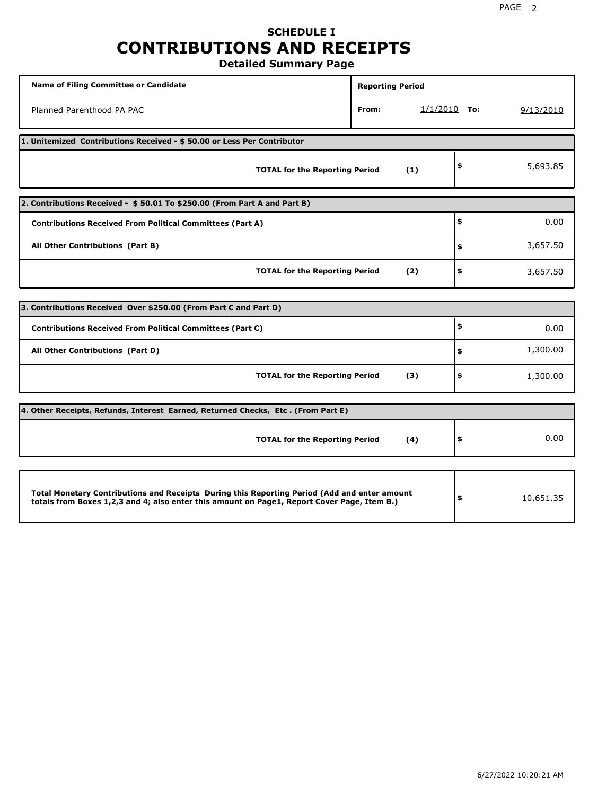## **SCHEDULE I CONTRIBUTIONS AND RECEIPTS**

**Detailed Summary Page**

| <b>Name of Filing Committee or Candidate</b>                                                                                                                                                | <b>Reporting Period</b> |                |                 |
|---------------------------------------------------------------------------------------------------------------------------------------------------------------------------------------------|-------------------------|----------------|-----------------|
| Planned Parenthood PA PAC                                                                                                                                                                   | From:                   | $1/1/2010$ To: | 9/13/2010       |
| 1. Unitemized Contributions Received - \$50.00 or Less Per Contributor                                                                                                                      |                         |                |                 |
| <b>TOTAL for the Reporting Period</b>                                                                                                                                                       |                         | (1)            | \$<br>5,693.85  |
| 2. Contributions Received - \$50.01 To \$250.00 (From Part A and Part B)                                                                                                                    |                         |                |                 |
| <b>Contributions Received From Political Committees (Part A)</b>                                                                                                                            |                         |                | \$<br>0.00      |
| All Other Contributions (Part B)                                                                                                                                                            |                         |                | \$<br>3,657.50  |
| <b>TOTAL for the Reporting Period</b>                                                                                                                                                       |                         | (2)            | \$<br>3,657.50  |
|                                                                                                                                                                                             |                         |                |                 |
| 3. Contributions Received Over \$250.00 (From Part C and Part D)                                                                                                                            |                         |                |                 |
| <b>Contributions Received From Political Committees (Part C)</b>                                                                                                                            |                         |                | \$<br>0.00      |
| All Other Contributions (Part D)                                                                                                                                                            |                         |                | \$<br>1,300.00  |
| <b>TOTAL for the Reporting Period</b>                                                                                                                                                       |                         | (3)            | \$<br>1,300.00  |
| 4. Other Receipts, Refunds, Interest Earned, Returned Checks, Etc. (From Part E)                                                                                                            |                         |                |                 |
| <b>TOTAL for the Reporting Period</b>                                                                                                                                                       |                         | (4)            | \$<br>0.00      |
|                                                                                                                                                                                             |                         |                |                 |
| Total Monetary Contributions and Receipts During this Reporting Period (Add and enter amount<br>totals from Boxes 1,2,3 and 4; also enter this amount on Page1, Report Cover Page, Item B.) |                         |                | \$<br>10,651.35 |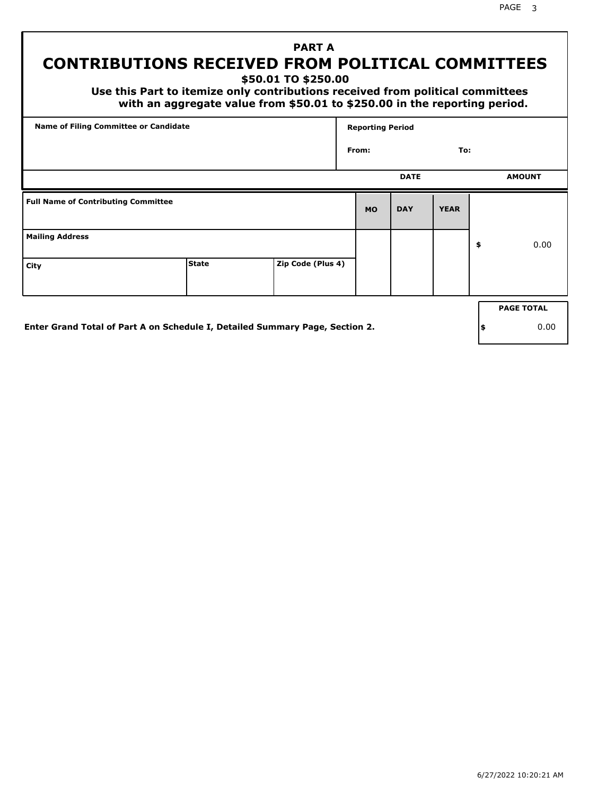PAGE 3

## **PART A CONTRIBUTIONS RECEIVED FROM POLITICAL COMMITTEES**

**\$50.01 TO \$250.00**

 **Use this Part to itemize only contributions received from political committees with an aggregate value from \$50.01 to \$250.00 in the reporting period.**

| Name of Filing Committee or Candidate      |              |                   | <b>Reporting Period</b> |             |             |                   |
|--------------------------------------------|--------------|-------------------|-------------------------|-------------|-------------|-------------------|
|                                            |              |                   | From:                   |             | To:         |                   |
|                                            |              |                   |                         | <b>DATE</b> |             | <b>AMOUNT</b>     |
| <b>Full Name of Contributing Committee</b> |              |                   | <b>MO</b>               | <b>DAY</b>  | <b>YEAR</b> |                   |
| <b>Mailing Address</b>                     |              |                   |                         |             |             | \$<br>0.00        |
| City                                       | <b>State</b> | Zip Code (Plus 4) |                         |             |             |                   |
|                                            |              |                   |                         |             |             | <b>PAGE TOTAL</b> |
|                                            |              |                   |                         |             |             |                   |

**Enter Grand Total of Part A on Schedule I, Detailed Summary Page, Section 2.**

**\$** 0.00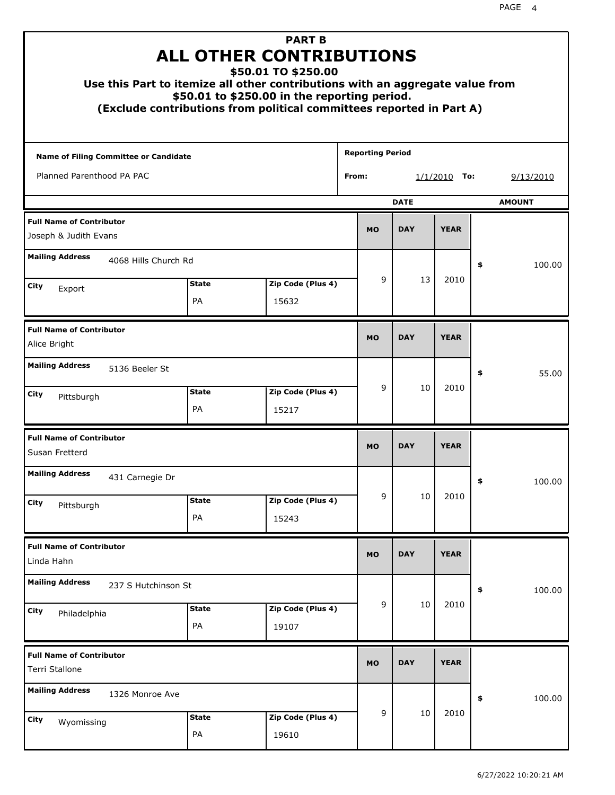| <b>PART B</b><br><b>ALL OTHER CONTRIBUTIONS</b><br>\$50.01 TO \$250.00<br>Use this Part to itemize all other contributions with an aggregate value from<br>\$50.01 to \$250.00 in the reporting period.<br>(Exclude contributions from political committees reported in Part A) |                    |                            |                         |                |               |    |           |  |  |
|---------------------------------------------------------------------------------------------------------------------------------------------------------------------------------------------------------------------------------------------------------------------------------|--------------------|----------------------------|-------------------------|----------------|---------------|----|-----------|--|--|
| <b>Name of Filing Committee or Candidate</b>                                                                                                                                                                                                                                    |                    |                            | <b>Reporting Period</b> |                |               |    |           |  |  |
| Planned Parenthood PA PAC                                                                                                                                                                                                                                                       |                    |                            | From:                   | $1/1/2010$ To: |               |    | 9/13/2010 |  |  |
|                                                                                                                                                                                                                                                                                 |                    | <b>DATE</b>                |                         |                | <b>AMOUNT</b> |    |           |  |  |
| <b>Full Name of Contributor</b><br>Joseph & Judith Evans                                                                                                                                                                                                                        |                    |                            | <b>MO</b>               | <b>DAY</b>     | <b>YEAR</b>   |    |           |  |  |
| <b>Mailing Address</b><br>4068 Hills Church Rd                                                                                                                                                                                                                                  |                    |                            |                         |                |               | \$ | 100.00    |  |  |
| City                                                                                                                                                                                                                                                                            | <b>State</b>       | Zip Code (Plus 4)          | 9                       | 13             | 2010          |    |           |  |  |
| Export                                                                                                                                                                                                                                                                          | PA                 | 15632                      |                         |                |               |    |           |  |  |
| <b>Full Name of Contributor</b><br>Alice Bright                                                                                                                                                                                                                                 |                    |                            | <b>MO</b>               | <b>DAY</b>     | <b>YEAR</b>   |    |           |  |  |
| <b>Mailing Address</b><br>5136 Beeler St                                                                                                                                                                                                                                        |                    |                            |                         |                |               | \$ | 55.00     |  |  |
| City<br>Pittsburgh                                                                                                                                                                                                                                                              | <b>State</b><br>PA | Zip Code (Plus 4)<br>15217 | 9                       | 10             | 2010          |    |           |  |  |
| <b>Full Name of Contributor</b><br>Susan Fretterd                                                                                                                                                                                                                               |                    |                            | <b>MO</b>               | <b>DAY</b>     | <b>YEAR</b>   |    |           |  |  |
| <b>Mailing Address</b><br>431 Carnegie Dr                                                                                                                                                                                                                                       |                    |                            |                         |                |               | Ş  | 100.00    |  |  |
| City<br>Pittsburgh                                                                                                                                                                                                                                                              | <b>State</b><br>PA | Zip Code (Plus 4)<br>15243 | 9                       | 10             | 2010          |    |           |  |  |
| <b>Full Name of Contributor</b><br>Linda Hahn                                                                                                                                                                                                                                   |                    |                            | <b>MO</b>               | <b>DAY</b>     | <b>YEAR</b>   |    |           |  |  |
| <b>Mailing Address</b><br>237 S Hutchinson St                                                                                                                                                                                                                                   |                    |                            |                         |                |               | \$ | 100.00    |  |  |
| City<br>Philadelphia                                                                                                                                                                                                                                                            | <b>State</b><br>PA | Zip Code (Plus 4)<br>19107 | 9                       | 10             | 2010          |    |           |  |  |
| <b>Full Name of Contributor</b><br>Terri Stallone                                                                                                                                                                                                                               |                    |                            | <b>MO</b>               | <b>DAY</b>     | <b>YEAR</b>   |    |           |  |  |
| <b>Mailing Address</b><br>1326 Monroe Ave                                                                                                                                                                                                                                       |                    |                            |                         |                |               | \$ | 100.00    |  |  |
| City<br>Wyomissing                                                                                                                                                                                                                                                              | <b>State</b><br>PA | Zip Code (Plus 4)<br>19610 | 9                       | 10             | 2010          |    |           |  |  |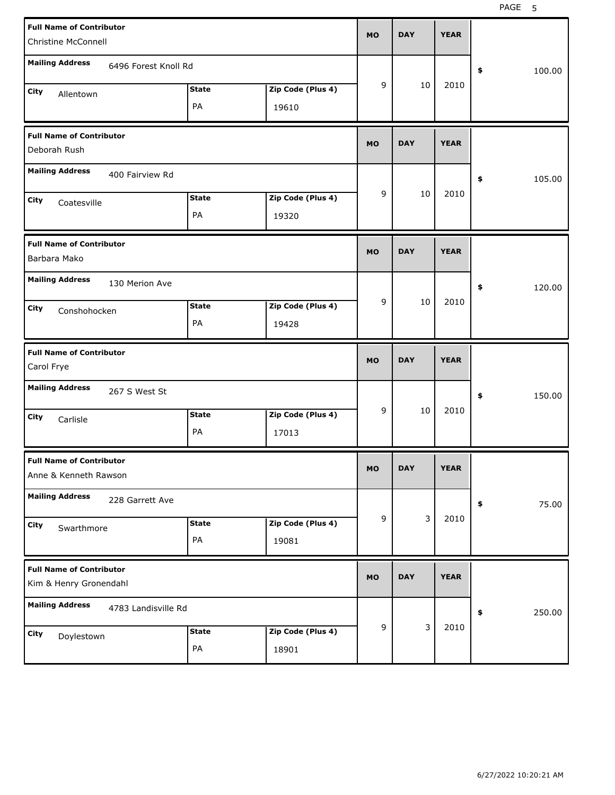| <b>Full Name of Contributor</b><br><b>Christine McConnell</b>    |                               |                            | <b>MO</b> | <b>DAY</b> | <b>YEAR</b> |              |
|------------------------------------------------------------------|-------------------------------|----------------------------|-----------|------------|-------------|--------------|
| <b>Mailing Address</b><br>6496 Forest Knoll Rd                   |                               |                            |           |            |             | \$<br>100.00 |
| City<br>Allentown                                                | <b>State</b><br>PA            | Zip Code (Plus 4)<br>19610 | 9         | 10         | 2010        |              |
| <b>Full Name of Contributor</b><br>Deborah Rush                  |                               |                            | <b>MO</b> | <b>DAY</b> | <b>YEAR</b> |              |
| <b>Mailing Address</b><br>400 Fairview Rd                        |                               |                            |           |            |             | 105.00<br>\$ |
| City<br>Coatesville                                              | <b>State</b><br>PA            | Zip Code (Plus 4)<br>19320 | 9         | 10         | 2010        |              |
| <b>Full Name of Contributor</b><br>Barbara Mako                  |                               |                            | <b>MO</b> | <b>DAY</b> | <b>YEAR</b> |              |
| <b>Mailing Address</b><br>130 Merion Ave<br>City<br>Conshohocken | <b>State</b><br>PA            | Zip Code (Plus 4)<br>19428 | 9         | 10         | 2010        | 120.00<br>\$ |
|                                                                  |                               |                            |           |            |             |              |
| <b>Full Name of Contributor</b><br>Carol Frye                    |                               |                            | <b>MO</b> | <b>DAY</b> | <b>YEAR</b> |              |
| <b>Mailing Address</b><br>267 S West St                          |                               |                            |           |            |             | \$<br>150.00 |
| City<br>Carlisle                                                 | <b>State</b><br>PA            | Zip Code (Plus 4)<br>17013 | 9         | 10         | 2010        |              |
| <b>Full Name of Contributor</b><br>Anne & Kenneth Rawson         |                               |                            | <b>MO</b> | <b>DAY</b> | <b>YEAR</b> |              |
| <b>Mailing Address</b><br>228 Garrett Ave                        |                               |                            |           |            |             | 75.00<br>\$  |
| City<br>Swarthmore                                               | <b>State</b><br>$\mathsf{PA}$ | Zip Code (Plus 4)<br>19081 | 9         | 3          | 2010        |              |
| <b>Full Name of Contributor</b><br>Kim & Henry Gronendahl        |                               |                            | <b>MO</b> | <b>DAY</b> | <b>YEAR</b> |              |
| <b>Mailing Address</b><br>4783 Landisville Rd                    |                               |                            | 9         | 3          | 2010        | \$<br>250.00 |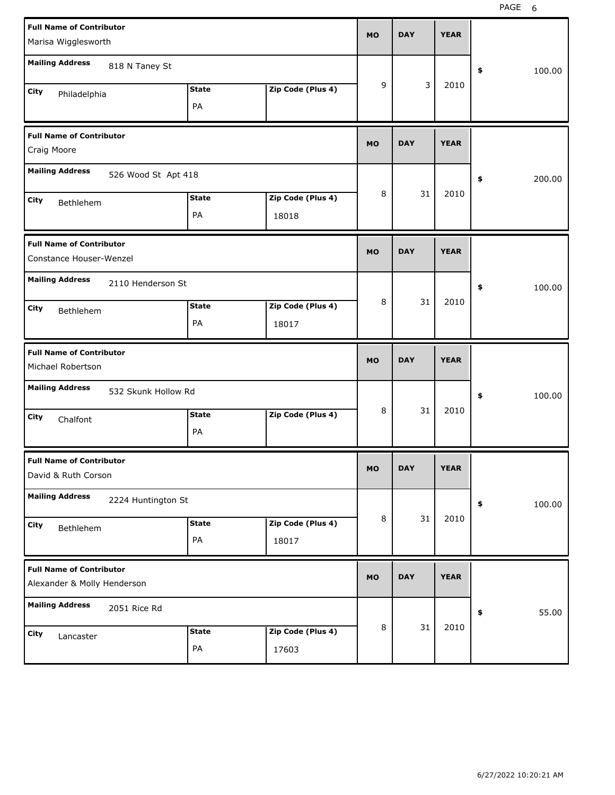| Marisa Wigglesworth                                            | <b>Full Name of Contributor</b> |                    |                            | <b>MO</b> | <b>DAY</b> | <b>YEAR</b> |              |
|----------------------------------------------------------------|---------------------------------|--------------------|----------------------------|-----------|------------|-------------|--------------|
| <b>Mailing Address</b>                                         | 818 N Taney St                  |                    |                            |           |            |             | \$<br>100.00 |
| City<br>Philadelphia                                           |                                 | <b>State</b><br>PA | Zip Code (Plus 4)          | 9         | 3          | 2010        |              |
| <b>Full Name of Contributor</b><br>Craig Moore                 |                                 |                    |                            | <b>MO</b> | <b>DAY</b> | <b>YEAR</b> |              |
| <b>Mailing Address</b>                                         | 526 Wood St Apt 418             |                    |                            |           |            |             | 200.00<br>\$ |
| City<br>Bethlehem                                              |                                 | <b>State</b><br>PA | Zip Code (Plus 4)<br>18018 | 8         | 31         | 2010        |              |
| <b>Full Name of Contributor</b><br>Constance Houser-Wenzel     |                                 |                    |                            |           | <b>DAY</b> | <b>YEAR</b> |              |
| <b>Mailing Address</b><br>2110 Henderson St                    |                                 |                    |                            |           |            |             | 100.00<br>\$ |
| City<br>Bethlehem                                              |                                 | <b>State</b><br>PA | Zip Code (Plus 4)<br>18017 | 8         | 31         | 2010        |              |
|                                                                |                                 |                    |                            |           |            |             |              |
| <b>Full Name of Contributor</b><br>Michael Robertson           |                                 |                    |                            | <b>MO</b> | <b>DAY</b> | <b>YEAR</b> |              |
| <b>Mailing Address</b>                                         | 532 Skunk Hollow Rd             |                    |                            |           |            |             | 100.00<br>\$ |
| City<br>Chalfont                                               |                                 | <b>State</b><br>PA | Zip Code (Plus 4)          | 8         | 31         | 2010        |              |
| <b>Full Name of Contributor</b><br>David & Ruth Corson         |                                 |                    |                            | MO        | <b>DAY</b> | <b>YEAR</b> |              |
| <b>Mailing Address</b>                                         | 2224 Huntington St              |                    |                            |           |            |             | 100.00<br>\$ |
| City<br>Bethlehem                                              |                                 | <b>State</b><br>PA | Zip Code (Plus 4)<br>18017 | 8         | 31         | 2010        |              |
| <b>Full Name of Contributor</b><br>Alexander & Molly Henderson |                                 |                    |                            | <b>MO</b> | <b>DAY</b> | <b>YEAR</b> |              |
| <b>Mailing Address</b>                                         | 2051 Rice Rd                    |                    |                            | 8         | 31         | 2010        | 55.00<br>\$  |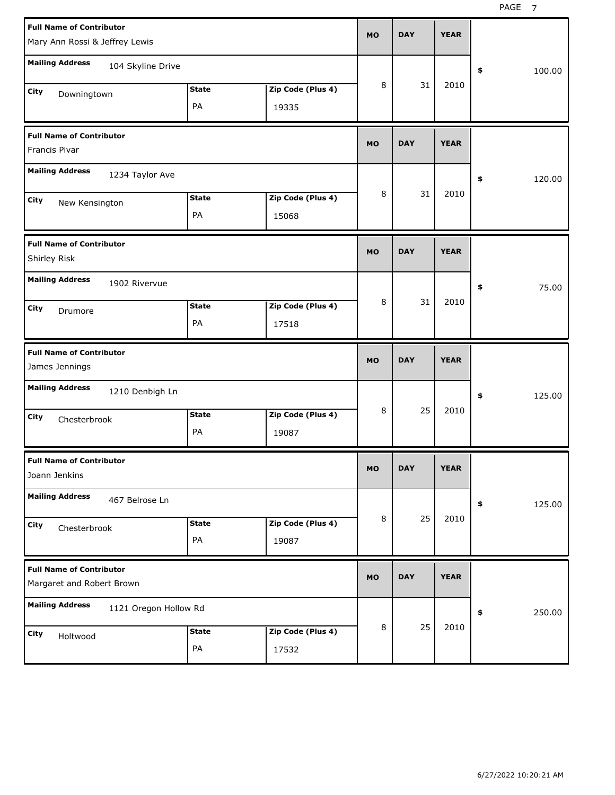PAGE<sub>7</sub>

| <b>Full Name of Contributor</b><br>Mary Ann Rossi & Jeffrey Lewis |                    |                            |           |            | <b>YEAR</b> |              |
|-------------------------------------------------------------------|--------------------|----------------------------|-----------|------------|-------------|--------------|
| <b>Mailing Address</b><br>104 Skyline Drive                       |                    |                            |           |            |             | 100.00<br>\$ |
| City<br>Downingtown                                               | <b>State</b><br>PA | Zip Code (Plus 4)<br>19335 | 8         | 31         | 2010        |              |
| <b>Full Name of Contributor</b><br>Francis Pivar                  |                    |                            | <b>MO</b> | <b>DAY</b> | <b>YEAR</b> |              |
| <b>Mailing Address</b><br>1234 Taylor Ave                         |                    |                            |           |            |             | \$<br>120.00 |
| City<br>New Kensington                                            | <b>State</b><br>PA | Zip Code (Plus 4)<br>15068 | 8         | 31         | 2010        |              |
| <b>Full Name of Contributor</b><br>Shirley Risk                   |                    |                            | <b>MO</b> | <b>DAY</b> | <b>YEAR</b> |              |
| <b>Mailing Address</b><br>1902 Rivervue                           |                    |                            |           |            |             | 75.00<br>\$  |
| City<br>Drumore                                                   | <b>State</b><br>PA | Zip Code (Plus 4)<br>17518 | 8         | 31         | 2010        |              |
|                                                                   |                    |                            |           |            |             |              |
| <b>Full Name of Contributor</b><br>James Jennings                 |                    |                            | <b>MO</b> | <b>DAY</b> | <b>YEAR</b> |              |
| <b>Mailing Address</b><br>1210 Denbigh Ln                         |                    |                            |           |            |             | 125.00<br>\$ |
| City<br>Chesterbrook                                              | <b>State</b><br>PA | Zip Code (Plus 4)<br>19087 | 8         | 25         | 2010        |              |
| <b>Full Name of Contributor</b><br>Joann Jenkins                  |                    |                            | <b>MO</b> | DAY        | <b>YEAR</b> |              |
| <b>Mailing Address</b><br>467 Belrose Ln                          |                    |                            |           |            |             | \$<br>125.00 |
| City<br>Chesterbrook                                              | <b>State</b><br>PA | Zip Code (Plus 4)<br>19087 | 8         | 25         | 2010        |              |
| <b>Full Name of Contributor</b><br>Margaret and Robert Brown      |                    |                            | <b>MO</b> | <b>DAY</b> | <b>YEAR</b> |              |
| <b>Mailing Address</b><br>1121 Oregon Hollow Rd                   |                    |                            | 8         | 25         | 2010        | 250.00<br>\$ |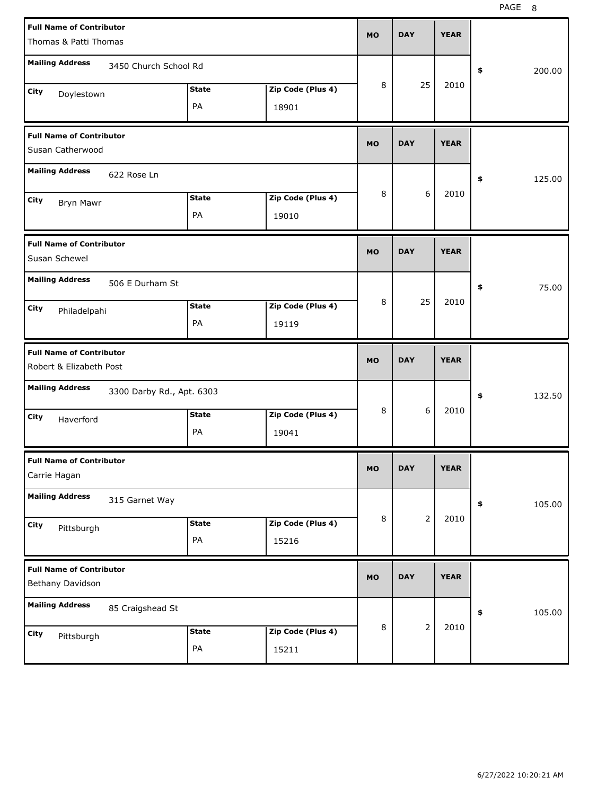|                                                            | <b>Full Name of Contributor</b><br>Thomas & Patti Thomas |                    |                            |           | <b>DAY</b>     | <b>YEAR</b> |              |
|------------------------------------------------------------|----------------------------------------------------------|--------------------|----------------------------|-----------|----------------|-------------|--------------|
| <b>Mailing Address</b>                                     | 3450 Church School Rd                                    |                    |                            |           |                |             | \$<br>200.00 |
| City<br>Doylestown                                         |                                                          | <b>State</b><br>PA | Zip Code (Plus 4)<br>18901 | 8         | 25             | 2010        |              |
| <b>Full Name of Contributor</b><br>Susan Catherwood        |                                                          |                    |                            | <b>MO</b> | <b>DAY</b>     | <b>YEAR</b> |              |
| <b>Mailing Address</b>                                     | 622 Rose Ln                                              |                    |                            |           |                |             | \$<br>125.00 |
| City<br>Bryn Mawr                                          |                                                          | <b>State</b><br>PA | Zip Code (Plus 4)<br>19010 | 8         | 6              | 2010        |              |
| <b>Full Name of Contributor</b><br>Susan Schewel           |                                                          |                    |                            | <b>MO</b> | <b>DAY</b>     | <b>YEAR</b> |              |
| <b>Mailing Address</b>                                     | 506 E Durham St                                          |                    |                            |           |                |             | \$<br>75.00  |
| City<br>Philadelpahi                                       |                                                          | <b>State</b><br>PA | Zip Code (Plus 4)<br>19119 | 8         | 25             | 2010        |              |
|                                                            |                                                          |                    |                            |           |                |             |              |
| <b>Full Name of Contributor</b><br>Robert & Elizabeth Post |                                                          |                    |                            | <b>MO</b> | <b>DAY</b>     | <b>YEAR</b> |              |
| <b>Mailing Address</b>                                     | 3300 Darby Rd., Apt. 6303                                |                    |                            |           |                |             | \$<br>132.50 |
| City<br>Haverford                                          |                                                          | <b>State</b><br>PA | Zip Code (Plus 4)<br>19041 | 8         | 6              | 2010        |              |
| <b>Full Name of Contributor</b><br>Carrie Hagan            |                                                          |                    |                            | MU        | <b>DAY</b>     | <b>YEAR</b> |              |
| <b>Mailing Address</b>                                     | 315 Garnet Way                                           |                    |                            |           |                |             | \$<br>105.00 |
| City<br>Pittsburgh                                         |                                                          | <b>State</b><br>PA | Zip Code (Plus 4)<br>15216 | 8         | $\overline{2}$ | 2010        |              |
| <b>Full Name of Contributor</b><br>Bethany Davidson        |                                                          |                    |                            | <b>MO</b> | <b>DAY</b>     | <b>YEAR</b> |              |
| <b>Mailing Address</b>                                     | 85 Craigshead St                                         |                    |                            | 8         | $\overline{2}$ | 2010        | 105.00<br>\$ |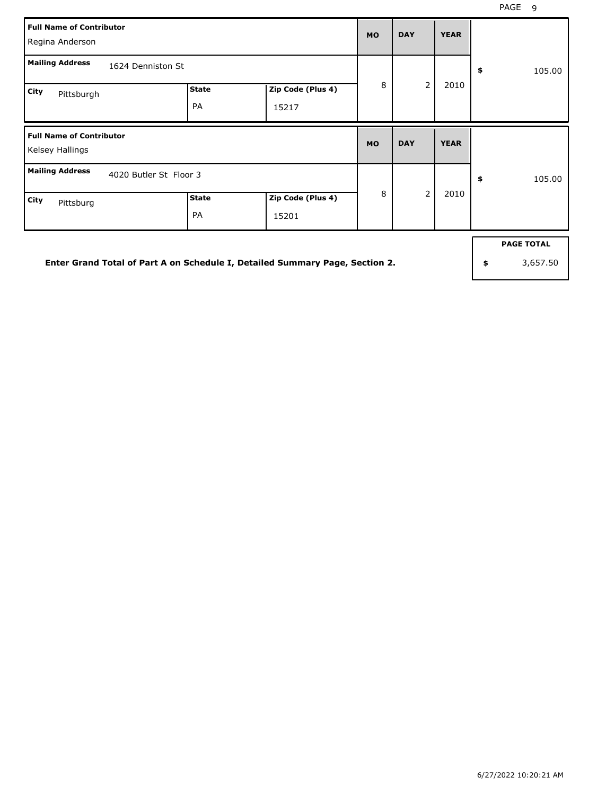|      | <b>Full Name of Contributor</b><br>Regina Anderson |                           |                            | <b>MO</b> | <b>DAY</b>     | <b>YEAR</b> |              |
|------|----------------------------------------------------|---------------------------|----------------------------|-----------|----------------|-------------|--------------|
|      | <b>Mailing Address</b><br>1624 Denniston St        |                           |                            |           |                |             | \$<br>105.00 |
| City | Pittsburgh                                         | <b>State</b><br><b>PA</b> | Zip Code (Plus 4)<br>15217 | 8         | $\overline{2}$ | 2010        |              |
|      |                                                    |                           |                            |           |                |             |              |
|      | <b>Full Name of Contributor</b><br>Kelsey Hallings |                           |                            | <b>MO</b> | <b>DAY</b>     | <b>YEAR</b> |              |
|      | <b>Mailing Address</b><br>4020 Butler St Floor 3   |                           |                            | 8         | $\overline{2}$ | 2010        | \$<br>105.00 |

**Enter Grand Total of Part A on Schedule I, Detailed Summary Page, Section 2.**

**PAGE TOTAL**

**\$** 3,657.50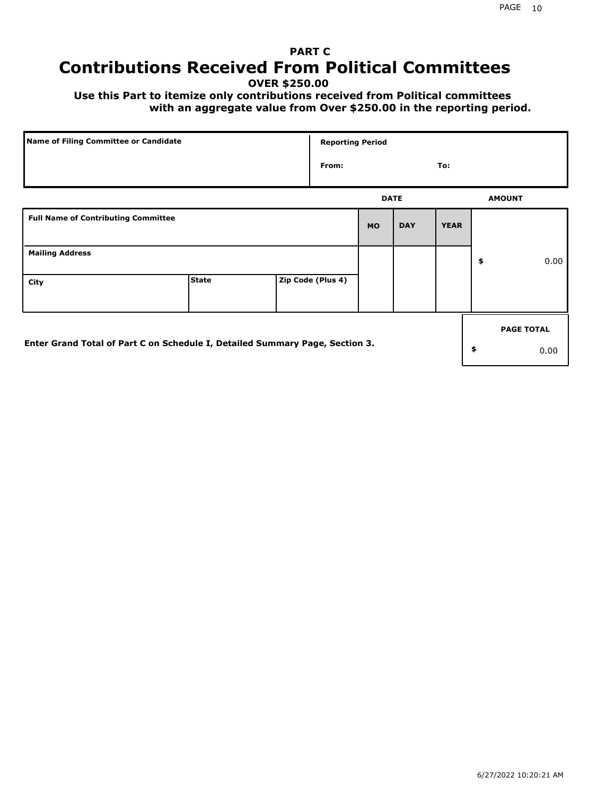## **PART C Contributions Received From Political Committees**

**OVER \$250.00**

 **Use this Part to itemize only contributions received from Political committees with an aggregate value from Over \$250.00 in the reporting period.**

| Name of Filing Committee or Candidate                                        |              | <b>Reporting Period</b> |             |            |             |                   |
|------------------------------------------------------------------------------|--------------|-------------------------|-------------|------------|-------------|-------------------|
|                                                                              |              | From:                   |             |            | To:         |                   |
|                                                                              |              |                         | <b>DATE</b> |            |             | <b>AMOUNT</b>     |
| <b>Full Name of Contributing Committee</b>                                   |              |                         | <b>MO</b>   | <b>DAY</b> | <b>YEAR</b> |                   |
| <b>Mailing Address</b>                                                       |              |                         |             |            |             | \$<br>0.00        |
| City                                                                         | <b>State</b> | Zip Code (Plus 4)       |             |            |             |                   |
|                                                                              |              |                         |             |            |             | <b>PAGE TOTAL</b> |
| Enter Grand Total of Part C on Schedule I, Detailed Summary Page, Section 3. |              |                         |             |            |             | \$<br>0.00        |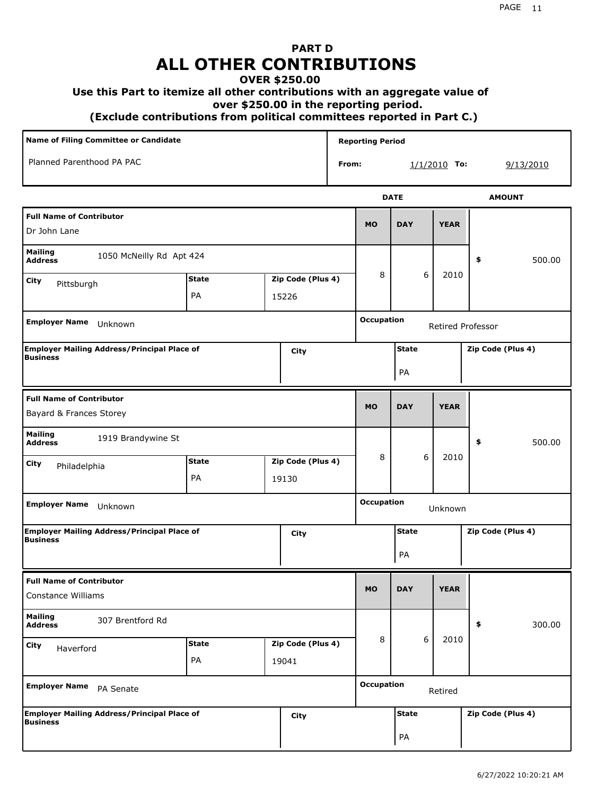# **PART D ALL OTHER CONTRIBUTIONS**

#### **OVER \$250.00**

#### **Use this Part to itemize all other contributions with an aggregate value of**

 **over \$250.00 in the reporting period.**

 **(Exclude contributions from political committees reported in Part C.)** 

| Name of Filing Committee or Candidate                        |              |       |                   |                   | <b>Reporting Period</b>      |              |                   |                   |                   |  |
|--------------------------------------------------------------|--------------|-------|-------------------|-------------------|------------------------------|--------------|-------------------|-------------------|-------------------|--|
| Planned Parenthood PA PAC                                    |              |       |                   | From:             |                              |              | $1/1/2010$ To:    | 9/13/2010         |                   |  |
|                                                              |              |       |                   |                   |                              | <b>DATE</b>  |                   | <b>AMOUNT</b>     |                   |  |
| <b>Full Name of Contributor</b><br>Dr John Lane              |              |       |                   |                   | <b>MO</b>                    | <b>DAY</b>   | <b>YEAR</b>       |                   |                   |  |
| <b>Mailing</b><br>1050 McNeilly Rd Apt 424<br><b>Address</b> |              |       |                   |                   |                              |              |                   | \$                | 500.00            |  |
| City<br>Pittsburgh                                           | <b>State</b> |       | Zip Code (Plus 4) |                   | 8                            | 6            | 2010              |                   |                   |  |
|                                                              | PA           | 15226 |                   |                   |                              |              |                   |                   |                   |  |
| <b>Employer Name</b><br>Unknown                              |              |       |                   | <b>Occupation</b> |                              |              | Retired Professor |                   |                   |  |
| <b>Employer Mailing Address/Principal Place of</b>           |              |       | City              |                   |                              | <b>State</b> |                   | Zip Code (Plus 4) |                   |  |
| Business                                                     |              |       |                   |                   | PA                           |              |                   |                   |                   |  |
| <b>Full Name of Contributor</b>                              |              |       |                   |                   |                              |              |                   |                   |                   |  |
| Bayard & Frances Storey                                      |              |       |                   |                   | <b>MO</b>                    | <b>DAY</b>   | <b>YEAR</b>       |                   |                   |  |
| <b>Mailing</b><br>1919 Brandywine St<br><b>Address</b>       |              |       |                   |                   |                              |              |                   | \$                | 500.00            |  |
| City<br>Philadelphia                                         | <b>State</b> |       | Zip Code (Plus 4) |                   | 8                            | 6            | 2010              |                   |                   |  |
|                                                              | PA           | 19130 |                   |                   |                              |              |                   |                   |                   |  |
| Employer Name Unknown                                        |              |       |                   |                   | <b>Occupation</b>            |              | Unknown           |                   |                   |  |
| Employer Mailing Address/Principal Place of                  |              |       | City              |                   |                              | <b>State</b> |                   | Zip Code (Plus 4) |                   |  |
| <b>Business</b>                                              |              |       |                   |                   |                              | PA           |                   |                   |                   |  |
| <b>Full Name of Contributor</b>                              |              |       |                   |                   |                              |              |                   |                   |                   |  |
| <b>Constance Williams</b>                                    |              |       |                   |                   | <b>MO</b>                    | <b>DAY</b>   | <b>YEAR</b>       |                   |                   |  |
| <b>Mailing</b><br>307 Brentford Rd<br><b>Address</b>         |              |       |                   |                   |                              |              |                   | \$                | 300.00            |  |
| City<br>Haverford                                            | <b>State</b> |       | Zip Code (Plus 4) |                   | 8                            | 6            | 2010              |                   |                   |  |
|                                                              | PA           | 19041 |                   |                   |                              |              |                   |                   |                   |  |
| <b>Employer Name</b><br>PA Senate                            |              |       |                   |                   | <b>Occupation</b><br>Retired |              |                   |                   |                   |  |
| Employer Mailing Address/Principal Place of<br>Business      |              |       | City              |                   |                              | <b>State</b> |                   |                   | Zip Code (Plus 4) |  |
|                                                              |              |       |                   |                   |                              | PA           |                   |                   |                   |  |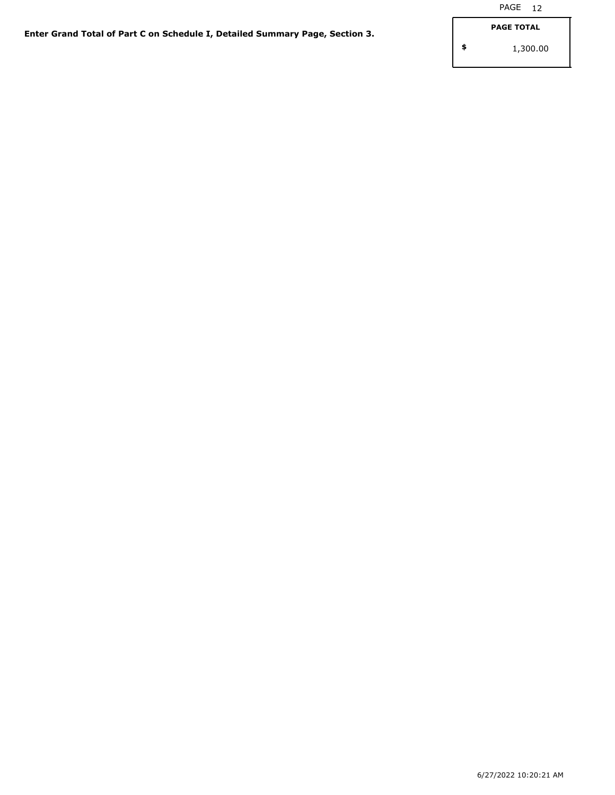**\$**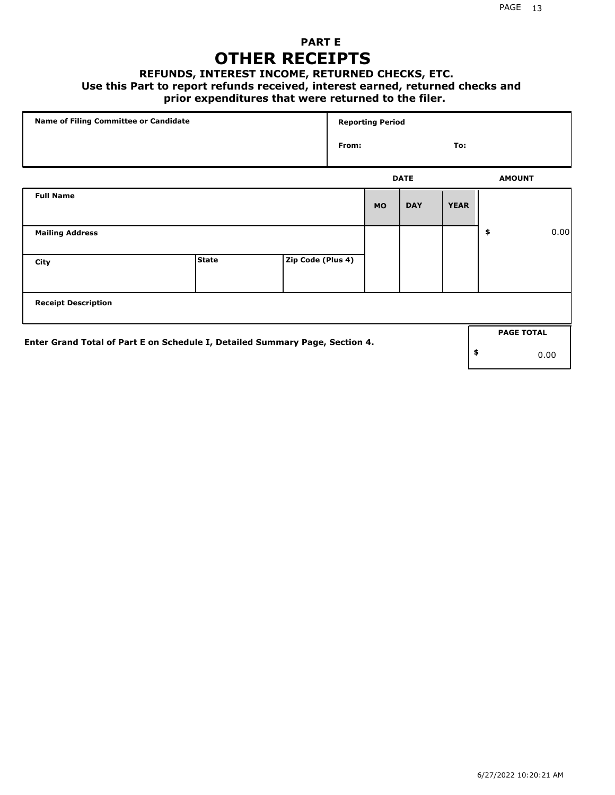### **PART E OTHER RECEIPTS**

#### **REFUNDS, INTEREST INCOME, RETURNED CHECKS, ETC.**

#### **Use this Part to report refunds received, interest earned, returned checks and**

### **prior expenditures that were returned to the filer.**

| Name of Filing Committee or Candidate                                        |              |                   |       | <b>Reporting Period</b> |             |             |                   |      |
|------------------------------------------------------------------------------|--------------|-------------------|-------|-------------------------|-------------|-------------|-------------------|------|
|                                                                              |              |                   | From: |                         |             | To:         |                   |      |
|                                                                              |              |                   |       |                         | <b>DATE</b> |             | <b>AMOUNT</b>     |      |
| <b>Full Name</b>                                                             |              |                   |       | <b>MO</b>               | <b>DAY</b>  | <b>YEAR</b> |                   |      |
| <b>Mailing Address</b>                                                       |              |                   |       |                         |             |             | \$                | 0.00 |
| City                                                                         | <b>State</b> | Zip Code (Plus 4) |       |                         |             |             |                   |      |
| <b>Receipt Description</b>                                                   |              |                   |       |                         |             |             |                   |      |
| Enter Grand Total of Part E on Schedule I, Detailed Summary Page, Section 4. |              |                   |       |                         |             |             | <b>PAGE TOTAL</b> |      |
|                                                                              |              |                   |       |                         |             |             | \$                | 0.00 |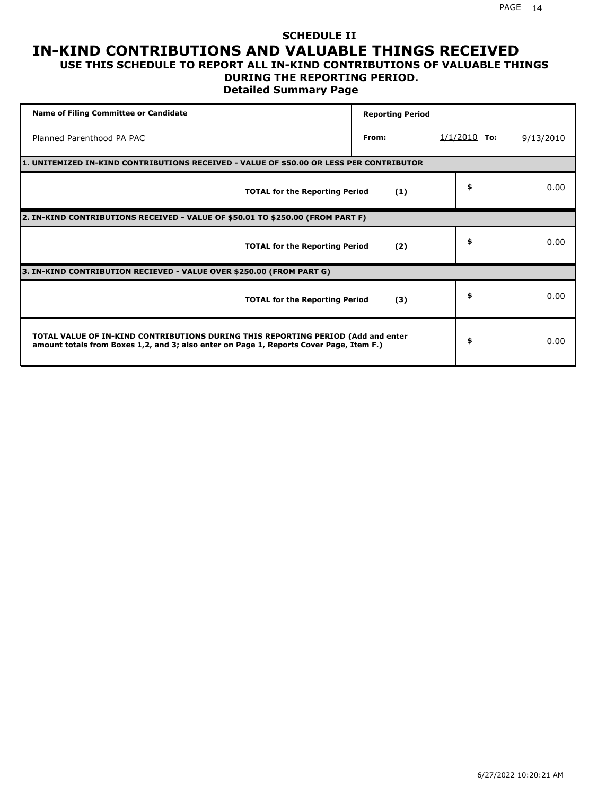## **SCHEDULE II IN-KIND CONTRIBUTIONS AND VALUABLE THINGS RECEIVED**

### **USE THIS SCHEDULE TO REPORT ALL IN-KIND CONTRIBUTIONS OF VALUABLE THINGS DURING THE REPORTING PERIOD.**

**Detailed Summary Page**

| <b>Name of Filing Committee or Candidate</b>                                                                                                                                | <b>Reporting Period</b> |                |           |
|-----------------------------------------------------------------------------------------------------------------------------------------------------------------------------|-------------------------|----------------|-----------|
| Planned Parenthood PA PAC                                                                                                                                                   | From:                   | $1/1/2010$ To: | 9/13/2010 |
| 1. UNITEMIZED IN-KIND CONTRIBUTIONS RECEIVED - VALUE OF \$50.00 OR LESS PER CONTRIBUTOR                                                                                     |                         |                |           |
| <b>TOTAL for the Reporting Period</b>                                                                                                                                       | (1)                     | \$             | 0.00      |
| 2. IN-KIND CONTRIBUTIONS RECEIVED - VALUE OF \$50.01 TO \$250.00 (FROM PART F)                                                                                              |                         |                |           |
| <b>TOTAL for the Reporting Period</b>                                                                                                                                       | (2)                     | \$             | 0.00      |
| 3. IN-KIND CONTRIBUTION RECIEVED - VALUE OVER \$250.00 (FROM PART G)                                                                                                        |                         |                |           |
| <b>TOTAL for the Reporting Period</b>                                                                                                                                       | (3)                     | \$             | 0.00      |
| TOTAL VALUE OF IN-KIND CONTRIBUTIONS DURING THIS REPORTING PERIOD (Add and enter<br>amount totals from Boxes 1,2, and 3; also enter on Page 1, Reports Cover Page, Item F.) |                         | \$             | 0.00      |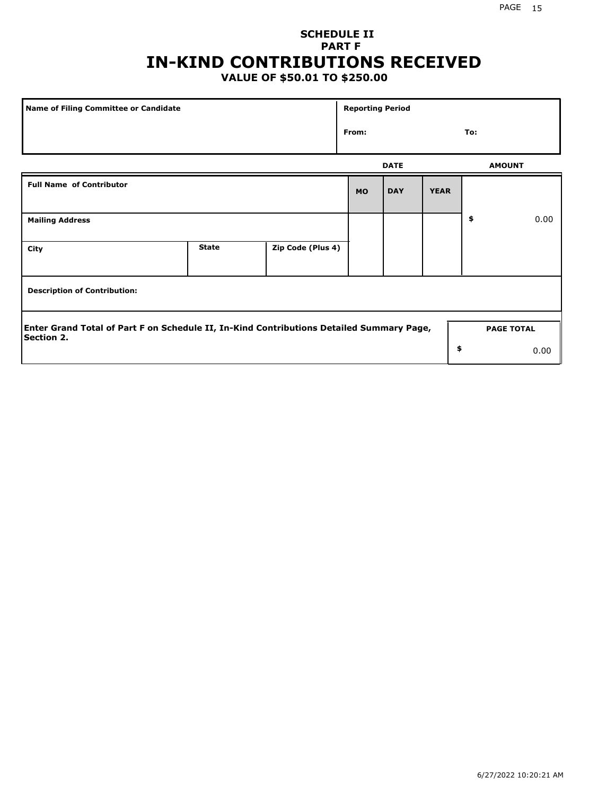### **SCHEDULE II PART F IN-KIND CONTRIBUTIONS RECEIVED**

### **VALUE OF \$50.01 TO \$250.00**

| <b>Name of Filing Committee or Candidate</b>                                                                  |              |                   | <b>Reporting Period</b> |             |             |                   |      |  |  |  |
|---------------------------------------------------------------------------------------------------------------|--------------|-------------------|-------------------------|-------------|-------------|-------------------|------|--|--|--|
| From:                                                                                                         |              |                   |                         |             |             | To:               |      |  |  |  |
|                                                                                                               |              |                   |                         | <b>DATE</b> |             | <b>AMOUNT</b>     |      |  |  |  |
| <b>Full Name of Contributor</b>                                                                               |              |                   | <b>MO</b>               | <b>DAY</b>  | <b>YEAR</b> |                   |      |  |  |  |
| <b>Mailing Address</b>                                                                                        |              |                   |                         |             |             | \$                | 0.00 |  |  |  |
| City                                                                                                          | <b>State</b> | Zip Code (Plus 4) |                         |             |             |                   |      |  |  |  |
| <b>Description of Contribution:</b>                                                                           |              |                   |                         |             |             |                   |      |  |  |  |
| Enter Grand Total of Part F on Schedule II, In-Kind Contributions Detailed Summary Page,<br><b>Section 2.</b> |              |                   |                         |             |             | <b>PAGE TOTAL</b> |      |  |  |  |
|                                                                                                               |              |                   |                         |             | \$          |                   | 0.00 |  |  |  |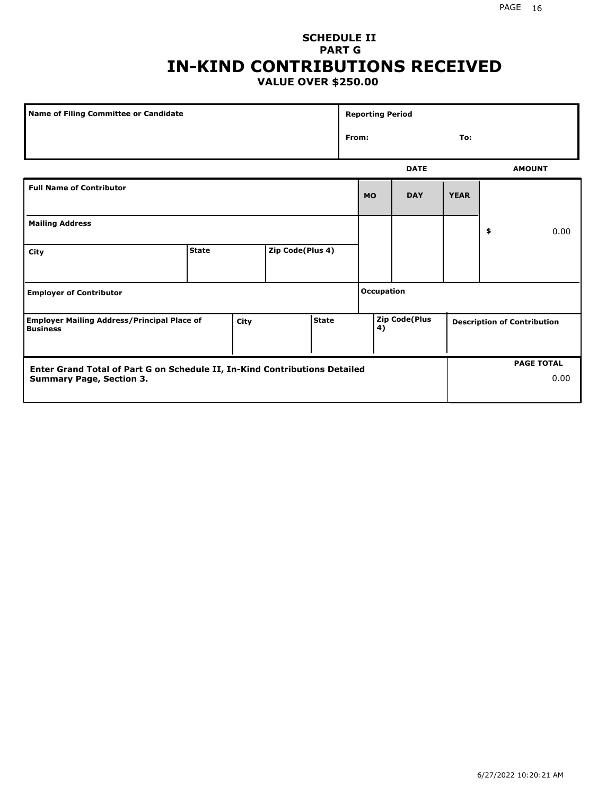### **SCHEDULE II PART G IN-KIND CONTRIBUTIONS RECEIVED VALUE OVER \$250.00**

| Name of Filing Committee or Candidate                                 |              |      |                  | <b>Reporting Period</b> |                   |              |                      |             |    |                                    |
|-----------------------------------------------------------------------|--------------|------|------------------|-------------------------|-------------------|--------------|----------------------|-------------|----|------------------------------------|
|                                                                       |              |      |                  |                         |                   | From:<br>To: |                      |             |    |                                    |
|                                                                       |              |      |                  |                         |                   |              | <b>DATE</b>          |             |    | <b>AMOUNT</b>                      |
| <b>Full Name of Contributor</b>                                       |              |      |                  |                         |                   | <b>MO</b>    | <b>DAY</b>           | <b>YEAR</b> |    |                                    |
| <b>Mailing Address</b>                                                |              |      |                  |                         |                   |              |                      |             | \$ | 0.00                               |
| City                                                                  | <b>State</b> |      | Zip Code(Plus 4) |                         |                   |              |                      |             |    |                                    |
| <b>Employer of Contributor</b>                                        |              |      |                  |                         | <b>Occupation</b> |              |                      |             |    |                                    |
| <b>Employer Mailing Address/Principal Place of</b><br><b>Business</b> |              | City |                  | <b>State</b>            |                   | 4)           | <b>Zip Code(Plus</b> |             |    | <b>Description of Contribution</b> |

| Enter Grand Total of Part G on Schedule II, In-Kind Contributions Detailed |  | <b>PAGE TOTAL</b> |
|----------------------------------------------------------------------------|--|-------------------|
| <b>Summary Page, Section 3.</b>                                            |  | 0.00              |
|                                                                            |  |                   |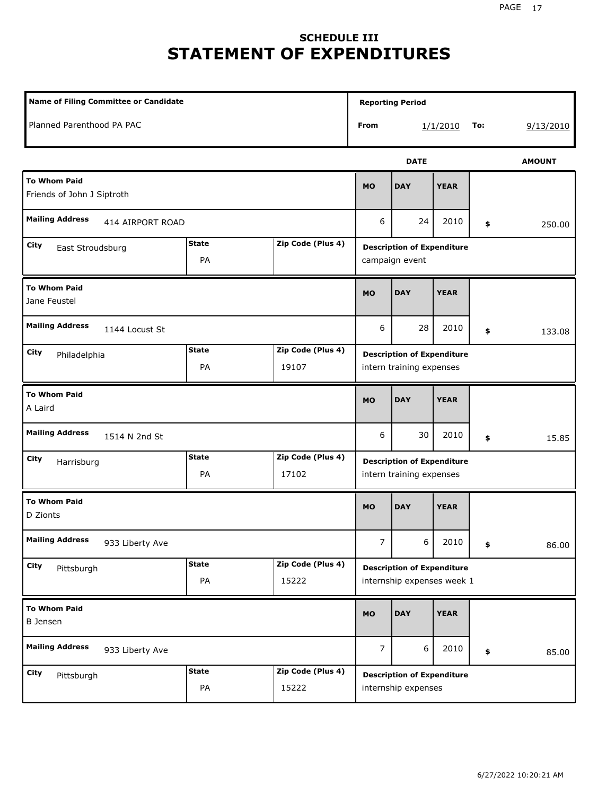## **SCHEDULE III STATEMENT OF EXPENDITURES**

| <b>Name of Filing Committee or Candidate</b>      |                    |                            |                                                               | <b>Reporting Period</b>                                         |             |     |               |  |
|---------------------------------------------------|--------------------|----------------------------|---------------------------------------------------------------|-----------------------------------------------------------------|-------------|-----|---------------|--|
| Planned Parenthood PA PAC                         |                    |                            | From                                                          |                                                                 | 1/1/2010    | To: | 9/13/2010     |  |
|                                                   |                    |                            |                                                               | <b>DATE</b>                                                     |             |     | <b>AMOUNT</b> |  |
| <b>To Whom Paid</b><br>Friends of John J Siptroth |                    |                            |                                                               | <b>DAY</b>                                                      | <b>YEAR</b> |     |               |  |
| <b>Mailing Address</b><br>414 AIRPORT ROAD        |                    |                            | 6                                                             | 24                                                              | 2010        | \$  | 250.00        |  |
| City<br>East Stroudsburg                          | <b>State</b><br>PA | Zip Code (Plus 4)          | <b>Description of Expenditure</b><br>campaign event           |                                                                 |             |     |               |  |
| <b>To Whom Paid</b><br>Jane Feustel               | <b>MO</b>          | <b>DAY</b>                 | <b>YEAR</b>                                                   |                                                                 |             |     |               |  |
| <b>Mailing Address</b><br>1144 Locust St          | 6                  | 28                         | 2010                                                          | \$                                                              | 133.08      |     |               |  |
| <b>City</b><br>Philadelphia                       | <b>State</b><br>PA | Zip Code (Plus 4)<br>19107 | <b>Description of Expenditure</b><br>intern training expenses |                                                                 |             |     |               |  |
| <b>To Whom Paid</b><br>A Laird                    |                    |                            |                                                               | <b>DAY</b>                                                      | <b>YEAR</b> |     |               |  |
| <b>Mailing Address</b><br>1514 N 2nd St           |                    |                            | 6                                                             | 30                                                              | 2010        | \$  | 15.85         |  |
| <b>City</b><br>Harrisburg                         | <b>State</b><br>PA | Zip Code (Plus 4)<br>17102 |                                                               | <b>Description of Expenditure</b><br>intern training expenses   |             |     |               |  |
| <b>To Whom Paid</b><br>D Zionts                   |                    |                            | <b>MO</b>                                                     | <b>DAY</b>                                                      | <b>YEAR</b> |     |               |  |
| <b>Mailing Address</b><br>933 Liberty Ave         |                    |                            | 7                                                             | 6                                                               | 2010        | \$  | 86.00         |  |
| City<br>Pittsburgh                                | <b>State</b><br>PA | Zip Code (Plus 4)<br>15222 |                                                               | <b>Description of Expenditure</b><br>internship expenses week 1 |             |     |               |  |
| <b>To Whom Paid</b><br><b>B</b> Jensen            |                    |                            | <b>MO</b>                                                     | <b>DAY</b>                                                      | <b>YEAR</b> |     |               |  |
| <b>Mailing Address</b><br>933 Liberty Ave         |                    |                            | $\overline{7}$                                                | 6                                                               | 2010        | \$  | 85.00         |  |
| City<br>Pittsburgh                                | <b>State</b><br>PA | Zip Code (Plus 4)<br>15222 |                                                               | <b>Description of Expenditure</b><br>internship expenses        |             |     |               |  |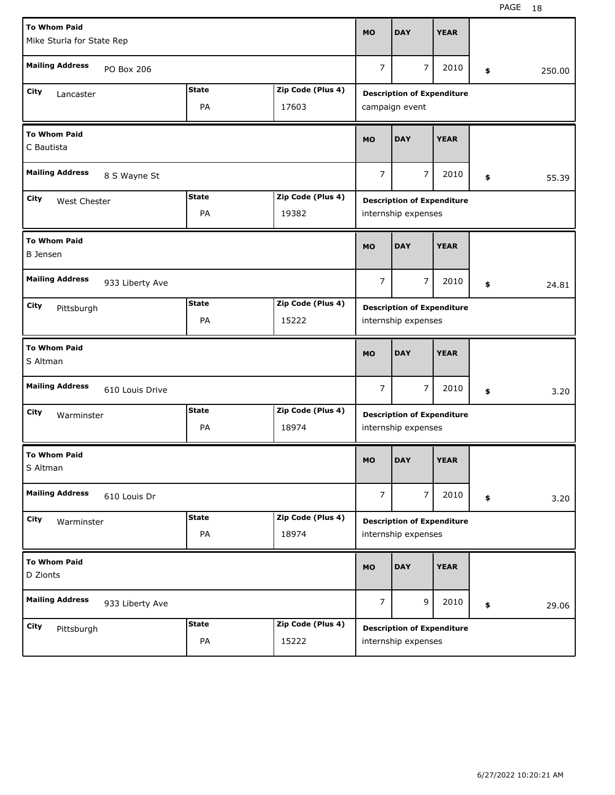| <b>To Whom Paid</b>                       |                |                   |                                                          | <b>DAY</b>                        | <b>YEAR</b> |    |        |
|-------------------------------------------|----------------|-------------------|----------------------------------------------------------|-----------------------------------|-------------|----|--------|
| Mike Sturla for State Rep                 |                |                   | <b>MO</b>                                                |                                   |             |    |        |
| <b>Mailing Address</b><br>PO Box 206      |                |                   | $\overline{7}$                                           | $\overline{7}$                    | 2010        | \$ | 250.00 |
| <b>City</b><br>Lancaster                  | <b>State</b>   | Zip Code (Plus 4) |                                                          | <b>Description of Expenditure</b> |             |    |        |
|                                           | PA             | 17603             |                                                          | campaign event                    |             |    |        |
| <b>To Whom Paid</b><br>C Bautista         | <b>MO</b>      | <b>DAY</b>        | <b>YEAR</b>                                              |                                   |             |    |        |
| <b>Mailing Address</b><br>8 S Wayne St    | $\overline{7}$ | $\overline{7}$    | 2010                                                     | \$                                | 55.39       |    |        |
| City<br>West Chester                      | <b>State</b>   | Zip Code (Plus 4) |                                                          | <b>Description of Expenditure</b> |             |    |        |
|                                           | PA             | 19382             |                                                          | internship expenses               |             |    |        |
| <b>To Whom Paid</b><br><b>B</b> Jensen    | <b>MO</b>      | <b>DAY</b>        | <b>YEAR</b>                                              |                                   |             |    |        |
| <b>Mailing Address</b><br>933 Liberty Ave | $\overline{7}$ | 7                 | 2010                                                     | \$                                | 24.81       |    |        |
| City<br>Pittsburgh                        | <b>State</b>   | Zip Code (Plus 4) |                                                          | <b>Description of Expenditure</b> |             |    |        |
|                                           | PA             | 15222             |                                                          | internship expenses               |             |    |        |
| <b>To Whom Paid</b><br>S Altman           |                |                   | <b>MO</b>                                                | <b>DAY</b>                        | <b>YEAR</b> |    |        |
| <b>Mailing Address</b><br>610 Louis Drive |                |                   | $\overline{7}$                                           | 7                                 | 2010        | \$ | 3.20   |
| City<br>Warminster                        | <b>State</b>   | Zip Code (Plus 4) |                                                          | <b>Description of Expenditure</b> |             |    |        |
|                                           | PA             | 18974             |                                                          | internship expenses               |             |    |        |
| <b>To Whom Paid</b><br>S Altman           |                |                   | <b>MO</b>                                                | <b>DAY</b>                        | <b>YEAR</b> |    |        |
| <b>Mailing Address</b><br>610 Louis Dr    |                |                   | $\overline{7}$                                           | $\overline{7}$                    | 2010        | \$ | 3.20   |
| City<br>Warminster                        | <b>State</b>   | Zip Code (Plus 4) |                                                          |                                   |             |    |        |
|                                           | PA             | 18974             | <b>Description of Expenditure</b><br>internship expenses |                                   |             |    |        |
|                                           |                |                   |                                                          |                                   |             |    |        |
| <b>To Whom Paid</b><br>D Zionts           |                |                   | <b>MO</b>                                                | <b>DAY</b>                        | <b>YEAR</b> |    |        |
| <b>Mailing Address</b><br>933 Liberty Ave |                |                   | $\overline{7}$                                           | 9                                 | 2010        | \$ | 29.06  |
| City<br>Pittsburgh                        | <b>State</b>   | Zip Code (Plus 4) |                                                          | <b>Description of Expenditure</b> |             |    |        |

H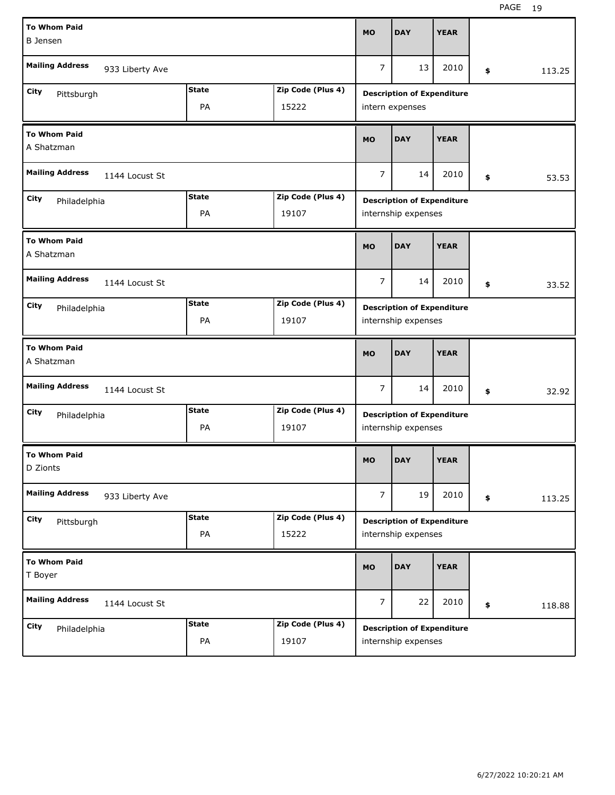| <b>To Whom Paid</b><br><b>B</b> Jensen    |                |                   | <b>MO</b>      | <b>DAY</b>                                               | <b>YEAR</b> |              |
|-------------------------------------------|----------------|-------------------|----------------|----------------------------------------------------------|-------------|--------------|
| <b>Mailing Address</b><br>933 Liberty Ave |                |                   | $\overline{7}$ | 13                                                       | 2010        | \$<br>113.25 |
| City                                      | <b>State</b>   | Zip Code (Plus 4) |                | <b>Description of Expenditure</b>                        |             |              |
| Pittsburgh                                | PA             | 15222             |                | intern expenses                                          |             |              |
| <b>To Whom Paid</b><br>A Shatzman         | <b>MO</b>      | <b>DAY</b>        | <b>YEAR</b>    |                                                          |             |              |
| <b>Mailing Address</b><br>1144 Locust St  | $\overline{7}$ | 14                | 2010           | \$<br>53.53                                              |             |              |
| City<br>Philadelphia                      | <b>State</b>   | Zip Code (Plus 4) |                | <b>Description of Expenditure</b>                        |             |              |
|                                           | PA             | 19107             |                | internship expenses                                      |             |              |
| <b>To Whom Paid</b><br>A Shatzman         | <b>MO</b>      | <b>DAY</b>        | <b>YEAR</b>    |                                                          |             |              |
| <b>Mailing Address</b><br>1144 Locust St  | $\overline{7}$ | 14                | 2010           | \$<br>33.52                                              |             |              |
| City<br>Philadelphia                      | <b>State</b>   | Zip Code (Plus 4) |                | <b>Description of Expenditure</b>                        |             |              |
|                                           | PA             | 19107             |                | internship expenses                                      |             |              |
|                                           |                |                   |                |                                                          |             |              |
| <b>To Whom Paid</b><br>A Shatzman         |                |                   | <b>MO</b>      | <b>DAY</b>                                               | <b>YEAR</b> |              |
| <b>Mailing Address</b><br>1144 Locust St  |                |                   | $\overline{7}$ | 14                                                       | 2010        | \$<br>32.92  |
| City                                      | <b>State</b>   | Zip Code (Plus 4) |                |                                                          |             |              |
| Philadelphia                              | PA             | 19107             |                | <b>Description of Expenditure</b><br>internship expenses |             |              |
| <b>To Whom Paid</b><br>D Zionts           |                |                   | <b>MO</b>      | <b>DAY</b>                                               | <b>YEAR</b> |              |
| <b>Mailing Address</b><br>933 Liberty Ave |                |                   | $\overline{7}$ | 19                                                       | 2010        | \$<br>113.25 |
| City                                      | <b>State</b>   | Zip Code (Plus 4) |                | <b>Description of Expenditure</b>                        |             |              |
| Pittsburgh                                | PA             | 15222             |                | internship expenses                                      |             |              |
| <b>To Whom Paid</b><br>T Boyer            |                |                   | <b>MO</b>      | <b>DAY</b>                                               | <b>YEAR</b> |              |
| <b>Mailing Address</b><br>1144 Locust St  |                |                   | $\overline{7}$ | 22                                                       | 2010        | \$<br>118.88 |
| City<br>Philadelphia                      | <b>State</b>   | Zip Code (Plus 4) |                | <b>Description of Expenditure</b>                        |             |              |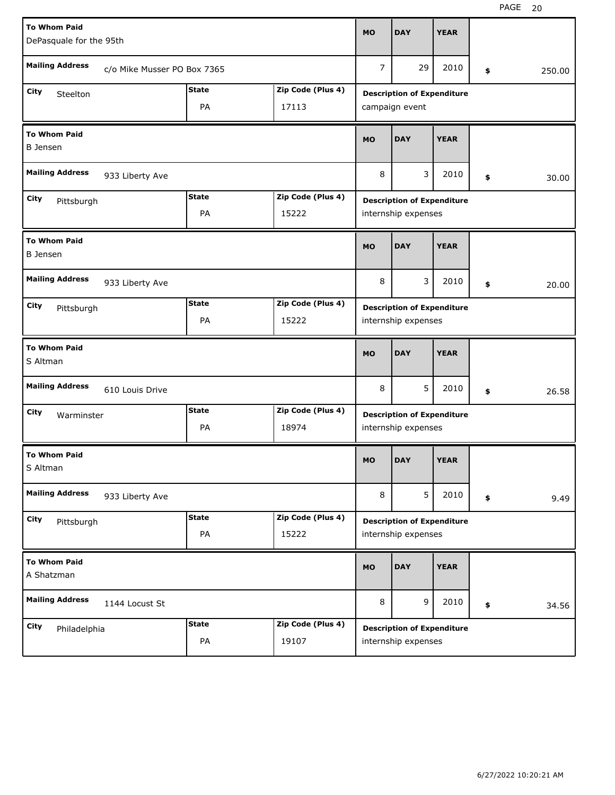| <b>To Whom Paid</b>                       |                             |              |                   | <b>MO</b>                         | <b>DAY</b>                                               | <b>YEAR</b> |    |        |  |  |
|-------------------------------------------|-----------------------------|--------------|-------------------|-----------------------------------|----------------------------------------------------------|-------------|----|--------|--|--|
| DePasquale for the 95th                   |                             |              |                   |                                   |                                                          |             |    |        |  |  |
| <b>Mailing Address</b>                    | c/o Mike Musser PO Box 7365 |              |                   | $\overline{7}$                    | 29                                                       | 2010        | \$ | 250.00 |  |  |
| City<br>Steelton                          |                             | <b>State</b> | Zip Code (Plus 4) |                                   | <b>Description of Expenditure</b>                        |             |    |        |  |  |
|                                           |                             | PA           | 17113             |                                   | campaign event                                           |             |    |        |  |  |
| <b>To Whom Paid</b><br><b>B</b> Jensen    |                             |              |                   | <b>MO</b>                         | <b>DAY</b>                                               | <b>YEAR</b> |    |        |  |  |
| <b>Mailing Address</b><br>933 Liberty Ave |                             |              |                   | 8                                 | 3                                                        | 2010        | \$ | 30.00  |  |  |
| City<br>Pittsburgh                        |                             | <b>State</b> | Zip Code (Plus 4) |                                   | <b>Description of Expenditure</b>                        |             |    |        |  |  |
|                                           |                             | PA           | 15222             |                                   | internship expenses                                      |             |    |        |  |  |
| <b>To Whom Paid</b><br><b>B</b> Jensen    |                             |              |                   |                                   | <b>DAY</b>                                               | <b>YEAR</b> |    |        |  |  |
| <b>Mailing Address</b><br>933 Liberty Ave |                             |              |                   |                                   | 3                                                        | 2010        | \$ | 20.00  |  |  |
| City<br>Pittsburgh                        |                             | <b>State</b> | Zip Code (Plus 4) | <b>Description of Expenditure</b> |                                                          |             |    |        |  |  |
|                                           |                             | PA           | 15222             | internship expenses               |                                                          |             |    |        |  |  |
| <b>To Whom Paid</b><br>S Altman           |                             |              |                   |                                   |                                                          |             |    |        |  |  |
|                                           |                             |              |                   | <b>MO</b>                         | <b>DAY</b>                                               | <b>YEAR</b> |    |        |  |  |
| <b>Mailing Address</b>                    | 610 Louis Drive             |              |                   | 8                                 | 5                                                        | 2010        | \$ | 26.58  |  |  |
| City                                      |                             | <b>State</b> | Zip Code (Plus 4) |                                   |                                                          |             |    |        |  |  |
| Warminster                                |                             | PA           | 18974             |                                   | <b>Description of Expenditure</b><br>internship expenses |             |    |        |  |  |
| <b>To Whom Paid</b><br>S Altman           |                             |              |                   | MO                                | <b>DAY</b>                                               | <b>YEAR</b> |    |        |  |  |
| <b>Mailing Address</b>                    | 933 Liberty Ave             |              |                   | 8                                 | 5                                                        | 2010        | \$ | 9.49   |  |  |
| City                                      |                             | <b>State</b> | Zip Code (Plus 4) |                                   |                                                          |             |    |        |  |  |
| Pittsburgh                                |                             | PA           | 15222             |                                   | <b>Description of Expenditure</b><br>internship expenses |             |    |        |  |  |
| <b>To Whom Paid</b><br>A Shatzman         |                             |              |                   | <b>MO</b>                         | <b>DAY</b>                                               | <b>YEAR</b> |    |        |  |  |
| <b>Mailing Address</b>                    | 1144 Locust St              |              |                   | 8                                 | 9                                                        | 2010        | \$ | 34.56  |  |  |
| City<br>Philadelphia                      |                             | <b>State</b> | Zip Code (Plus 4) |                                   | <b>Description of Expenditure</b>                        |             |    |        |  |  |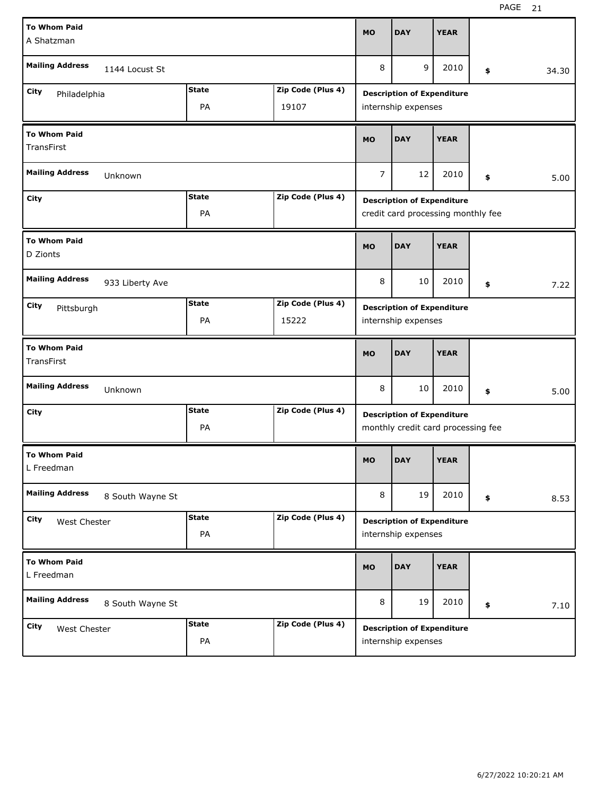| <b>To Whom Paid</b>                       |                  |              |                   | <b>MO</b>                         | <b>DAY</b>                         | <b>YEAR</b> |    |       |  |  |
|-------------------------------------------|------------------|--------------|-------------------|-----------------------------------|------------------------------------|-------------|----|-------|--|--|
| A Shatzman                                |                  |              |                   |                                   |                                    |             |    |       |  |  |
| <b>Mailing Address</b>                    | 1144 Locust St   |              |                   | 8                                 | 9                                  | 2010        | \$ | 34.30 |  |  |
| City<br>Philadelphia                      |                  | <b>State</b> | Zip Code (Plus 4) | <b>Description of Expenditure</b> |                                    |             |    |       |  |  |
|                                           |                  | PA           | 19107             |                                   | internship expenses                |             |    |       |  |  |
| <b>To Whom Paid</b><br>TransFirst         |                  |              |                   | <b>MO</b>                         | <b>DAY</b>                         | <b>YEAR</b> |    |       |  |  |
| <b>Mailing Address</b>                    | Unknown          |              |                   | $\overline{7}$                    | 12                                 | 2010        | \$ | 5.00  |  |  |
| City                                      |                  | <b>State</b> | Zip Code (Plus 4) |                                   | <b>Description of Expenditure</b>  |             |    |       |  |  |
|                                           |                  | PA           |                   |                                   | credit card processing monthly fee |             |    |       |  |  |
| <b>To Whom Paid</b><br>D Zionts           |                  |              |                   |                                   | <b>DAY</b>                         | <b>YEAR</b> |    |       |  |  |
| <b>Mailing Address</b><br>933 Liberty Ave |                  |              |                   |                                   | 10                                 | 2010        | \$ | 7.22  |  |  |
| City<br>Pittsburgh                        |                  | <b>State</b> | Zip Code (Plus 4) | <b>Description of Expenditure</b> |                                    |             |    |       |  |  |
|                                           |                  | PA           | 15222             | internship expenses               |                                    |             |    |       |  |  |
| <b>To Whom Paid</b><br>TransFirst         |                  |              |                   |                                   |                                    |             |    |       |  |  |
|                                           |                  |              |                   | <b>MO</b>                         | <b>DAY</b>                         | <b>YEAR</b> |    |       |  |  |
| <b>Mailing Address</b>                    | Unknown          |              |                   | 8                                 | 10                                 | 2010        | \$ | 5.00  |  |  |
| City                                      |                  | <b>State</b> | Zip Code (Plus 4) |                                   | <b>Description of Expenditure</b>  |             |    |       |  |  |
|                                           |                  | PA           |                   |                                   | monthly credit card processing fee |             |    |       |  |  |
| <b>To Whom Paid</b><br>L Freedman         |                  |              |                   | <b>MO</b>                         | <b>DAY</b>                         | <b>YEAR</b> |    |       |  |  |
| <b>Mailing Address</b>                    | 8 South Wayne St |              |                   | 8                                 | 19                                 | 2010        | \$ | 8.53  |  |  |
| City<br>West Chester                      |                  | <b>State</b> | Zip Code (Plus 4) |                                   | <b>Description of Expenditure</b>  |             |    |       |  |  |
|                                           |                  | PA           |                   |                                   | internship expenses                |             |    |       |  |  |
| <b>To Whom Paid</b><br>L Freedman         |                  |              |                   | <b>MO</b>                         | <b>DAY</b>                         | <b>YEAR</b> |    |       |  |  |
| <b>Mailing Address</b>                    | 8 South Wayne St |              |                   | 8                                 | 19                                 | 2010        | \$ | 7.10  |  |  |
| City<br>West Chester                      |                  | <b>State</b> | Zip Code (Plus 4) |                                   | <b>Description of Expenditure</b>  |             |    |       |  |  |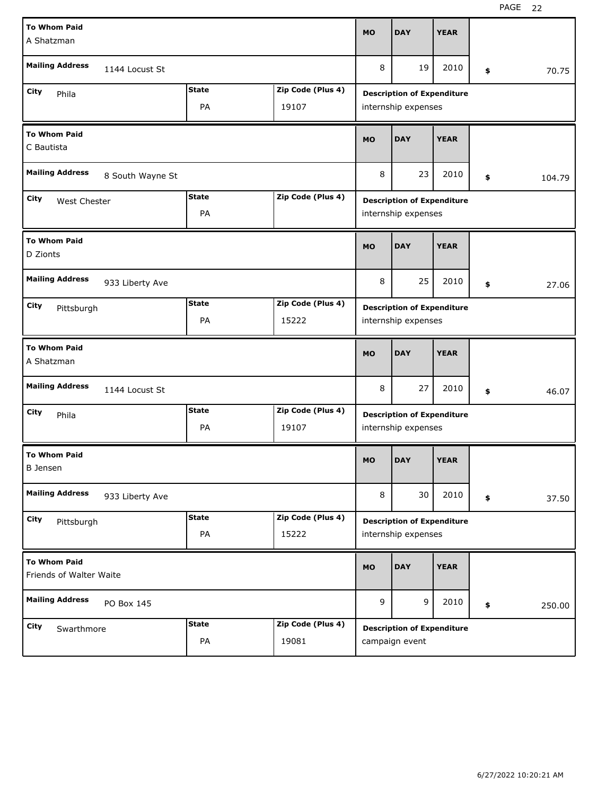| <b>To Whom Paid</b>                            |              |                   | <b>MO</b>                         | <b>DAY</b>                        | <b>YEAR</b> |    |        |  |  |
|------------------------------------------------|--------------|-------------------|-----------------------------------|-----------------------------------|-------------|----|--------|--|--|
| A Shatzman                                     |              |                   |                                   |                                   |             |    |        |  |  |
| <b>Mailing Address</b><br>1144 Locust St       |              |                   | 8                                 | 19                                | 2010        | \$ | 70.75  |  |  |
| City<br>Phila                                  | <b>State</b> | Zip Code (Plus 4) |                                   | <b>Description of Expenditure</b> |             |    |        |  |  |
|                                                | PA           | 19107             |                                   | internship expenses               |             |    |        |  |  |
| <b>To Whom Paid</b><br>C Bautista              |              |                   | <b>MO</b>                         | <b>DAY</b>                        | <b>YEAR</b> |    |        |  |  |
| <b>Mailing Address</b><br>8 South Wayne St     |              |                   | 8                                 | 23                                | 2010        | \$ | 104.79 |  |  |
| City<br>West Chester                           | <b>State</b> | Zip Code (Plus 4) |                                   | <b>Description of Expenditure</b> |             |    |        |  |  |
|                                                | PA           |                   |                                   | internship expenses               |             |    |        |  |  |
| <b>To Whom Paid</b><br>D Zionts                | <b>MO</b>    | <b>DAY</b>        | <b>YEAR</b>                       |                                   |             |    |        |  |  |
| <b>Mailing Address</b><br>933 Liberty Ave      |              |                   |                                   | 25                                | 2010        | \$ | 27.06  |  |  |
| City<br>Pittsburgh                             | <b>State</b> | Zip Code (Plus 4) | <b>Description of Expenditure</b> |                                   |             |    |        |  |  |
|                                                | PA           | 15222             |                                   | internship expenses               |             |    |        |  |  |
|                                                |              |                   |                                   |                                   |             |    |        |  |  |
| <b>To Whom Paid</b><br>A Shatzman              |              |                   | <b>MO</b>                         | <b>DAY</b>                        | <b>YEAR</b> |    |        |  |  |
| <b>Mailing Address</b><br>1144 Locust St       |              |                   | 8                                 | 27                                | 2010        | \$ | 46.07  |  |  |
| City<br>Phila                                  | <b>State</b> | Zip Code (Plus 4) |                                   | <b>Description of Expenditure</b> |             |    |        |  |  |
|                                                | PA           | 19107             |                                   | internship expenses               |             |    |        |  |  |
| <b>To Whom Paid</b><br><b>B</b> Jensen         |              |                   | <b>MO</b>                         | <b>DAY</b>                        | <b>YEAR</b> |    |        |  |  |
| <b>Mailing Address</b><br>933 Liberty Ave      |              |                   | 8                                 | 30                                | 2010        | \$ | 37.50  |  |  |
| City<br>Pittsburgh                             | <b>State</b> | Zip Code (Plus 4) |                                   | <b>Description of Expenditure</b> |             |    |        |  |  |
|                                                | PA           | 15222             |                                   | internship expenses               |             |    |        |  |  |
| <b>To Whom Paid</b><br>Friends of Walter Waite |              |                   | <b>MO</b>                         | <b>DAY</b>                        | <b>YEAR</b> |    |        |  |  |
| <b>Mailing Address</b><br>PO Box 145           |              |                   | 9                                 | 9                                 | 2010        | \$ | 250.00 |  |  |
| City<br>Swarthmore                             | <b>State</b> | Zip Code (Plus 4) |                                   | <b>Description of Expenditure</b> |             |    |        |  |  |